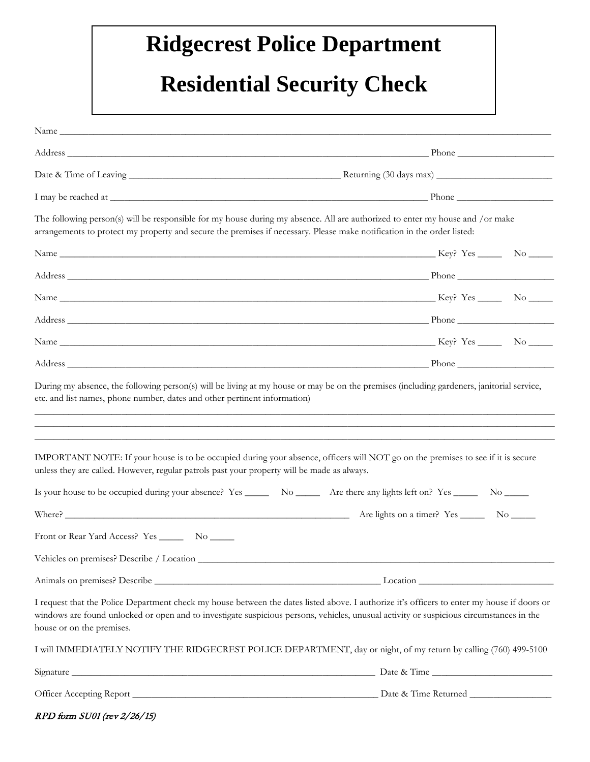## **Ridgecrest Police Department**

## **Residential Security Check**

| The following person(s) will be responsible for my house during my absence. All are authorized to enter my house and /or make<br>arrangements to protect my property and secure the premises if necessary. Please make notification in the order listed:                                                                                                                                                     |  |
|--------------------------------------------------------------------------------------------------------------------------------------------------------------------------------------------------------------------------------------------------------------------------------------------------------------------------------------------------------------------------------------------------------------|--|
|                                                                                                                                                                                                                                                                                                                                                                                                              |  |
|                                                                                                                                                                                                                                                                                                                                                                                                              |  |
|                                                                                                                                                                                                                                                                                                                                                                                                              |  |
|                                                                                                                                                                                                                                                                                                                                                                                                              |  |
|                                                                                                                                                                                                                                                                                                                                                                                                              |  |
|                                                                                                                                                                                                                                                                                                                                                                                                              |  |
| IMPORTANT NOTE: If your house is to be occupied during your absence, officers will NOT go on the premises to see if it is secure<br>unless they are called. However, regular patrols past your property will be made as always.                                                                                                                                                                              |  |
| Is your house to be occupied during your absence? Yes ________ No ________ Are there any lights left on? Yes _______ No ______                                                                                                                                                                                                                                                                               |  |
| Where? $\frac{1}{\sqrt{1-\frac{1}{2}}\sqrt{1-\frac{1}{2}}\sqrt{1-\frac{1}{2}}\sqrt{1-\frac{1}{2}}\sqrt{1-\frac{1}{2}}\sqrt{1-\frac{1}{2}}\sqrt{1-\frac{1}{2}}\sqrt{1-\frac{1}{2}}\sqrt{1-\frac{1}{2}}\sqrt{1-\frac{1}{2}}\sqrt{1-\frac{1}{2}}\sqrt{1-\frac{1}{2}}\sqrt{1-\frac{1}{2}}\sqrt{1-\frac{1}{2}}\sqrt{1-\frac{1}{2}}\sqrt{1-\frac{1}{2}}\sqrt{1-\frac{1}{2}}\sqrt{1-\frac{1}{2}}\sqrt{1-\frac{1}{2$ |  |
| Front or Rear Yard Access? Yes ________ No ______                                                                                                                                                                                                                                                                                                                                                            |  |
|                                                                                                                                                                                                                                                                                                                                                                                                              |  |
|                                                                                                                                                                                                                                                                                                                                                                                                              |  |
| I request that the Police Department check my house between the dates listed above. I authorize it's officers to enter my house if doors or<br>windows are found unlocked or open and to investigate suspicious persons, vehicles, unusual activity or suspicious circumstances in the<br>house or on the premises.                                                                                          |  |
| I will IMMEDIATELY NOTIFY THE RIDGECREST POLICE DEPARTMENT, day or night, of my return by calling (760) 499-5100                                                                                                                                                                                                                                                                                             |  |
|                                                                                                                                                                                                                                                                                                                                                                                                              |  |
|                                                                                                                                                                                                                                                                                                                                                                                                              |  |

|  |  | RPD form SU01 (rev 2/26/15) |  |
|--|--|-----------------------------|--|
|--|--|-----------------------------|--|